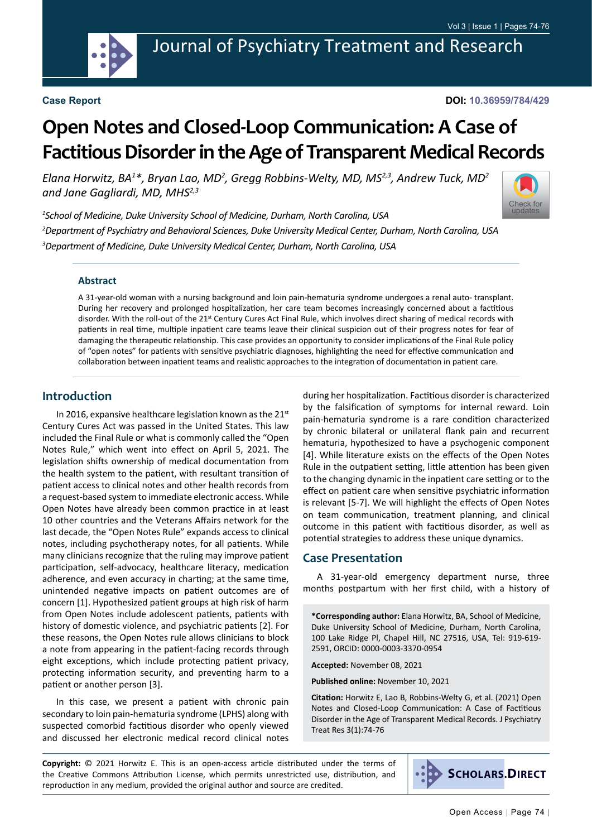

**DOI: 10.36959/784/429**

# **Open Notes and Closed-Loop Communication: A Case of Factitious Disorder in the Age of Transparent Medical Records**

Elana Horwitz, BA<sup>1\*</sup>, Bryan Lao, MD<sup>2</sup>, Gregg Robbins-Welty, MD, MS<sup>2,3</sup>, Andrew Tuck, MD<sup>2</sup> *and Jane Gagliardi, MD, MHS2,3*



*1 School of Medicine, Duke University School of Medicine, Durham, North Carolina, USA 2 Department of Psychiatry and Behavioral Sciences, Duke University Medical Center, Durham, North Carolina, USA 3 Department of Medicine, Duke University Medical Center, Durham, North Carolina, USA*

#### **Abstract**

A 31-year-old woman with a nursing background and loin pain-hematuria syndrome undergoes a renal auto- transplant. During her recovery and prolonged hospitalization, her care team becomes increasingly concerned about a factitious disorder. With the roll-out of the 21<sup>st</sup> Century Cures Act Final Rule, which involves direct sharing of medical records with patients in real time, multiple inpatient care teams leave their clinical suspicion out of their progress notes for fear of damaging the therapeutic relationship. This case provides an opportunity to consider implications of the Final Rule policy of "open notes" for patients with sensitive psychiatric diagnoses, highlighting the need for effective communication and collaboration between inpatient teams and realistic approaches to the integration of documentation in patient care.

### **Introduction**

In 2016, expansive healthcare legislation known as the  $21^{st}$ Century Cures Act was passed in the United States. This law included the Final Rule or what is commonly called the "Open Notes Rule," which went into effect on April 5, 2021. The legislation shifts ownership of medical documentation from the health system to the patient, with resultant transition of patient access to clinical notes and other health records from a request-based system to immediate electronic access. While Open Notes have already been common practice in at least 10 other countries and the Veterans Affairs network for the last decade, the "Open Notes Rule" expands access to clinical notes, including psychotherapy notes, for all patients. While many clinicians recognize that the ruling may improve patient participation, self-advocacy, healthcare literacy, medication adherence, and even accuracy in charting; at the same time, unintended negative impacts on patient outcomes are of concern [1]. Hypothesized patient groups at high risk of harm from Open Notes include adolescent patients, patients with history of domestic violence, and psychiatric patients [2]. For these reasons, the Open Notes rule allows clinicians to block a note from appearing in the patient-facing records through eight exceptions, which include protecting patient privacy, protecting information security, and preventing harm to a patient or another person [3].

In this case, we present a patient with chronic pain secondary to loin pain-hematuria syndrome (LPHS) along with suspected comorbid factitious disorder who openly viewed and discussed her electronic medical record clinical notes

during her hospitalization. Factitious disorder is characterized by the falsification of symptoms for internal reward. Loin pain-hematuria syndrome is a rare condition characterized by chronic bilateral or unilateral flank pain and recurrent hematuria, hypothesized to have a psychogenic component [4]. While literature exists on the effects of the Open Notes Rule in the outpatient setting, little attention has been given to the changing dynamic in the inpatient care setting or to the effect on patient care when sensitive psychiatric information is relevant [5-7]. We will highlight the effects of Open Notes on team communication, treatment planning, and clinical outcome in this patient with factitious disorder, as well as potential strategies to address these unique dynamics.

### **Case Presentation**

A 31-year-old emergency department nurse, three months postpartum with her first child, with a history of

**\*Corresponding author:** Elana Horwitz, BA, School of Medicine, Duke University School of Medicine, Durham, North Carolina, 100 Lake Ridge Pl, Chapel Hill, NC 27516, USA, Tel: 919-619- 2591, ORCID: 0000-0003-3370-0954

**Accepted:** November 08, 2021

**Published online:** November 10, 2021

**Citation:** Horwitz E, Lao B, Robbins-Welty G, et al. (2021) Open Notes and Closed-Loop Communication: A Case of Factitious Disorder in the Age of Transparent Medical Records. J Psychiatry Treat Res 3(1):74-76

**Copyright:** © 2021 Horwitz E. This is an open-access article distributed under the terms of the Creative Commons Attribution License, which permits unrestricted use, distribution, and reproduction in any medium, provided the original author and source are credited.

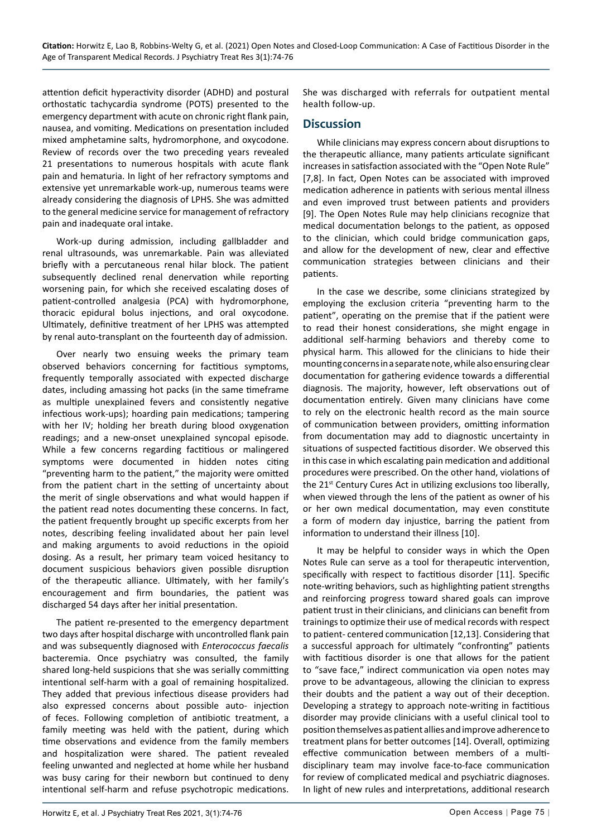attention deficit hyperactivity disorder (ADHD) and postural orthostatic tachycardia syndrome (POTS) presented to the emergency department with acute on chronic right flank pain, nausea, and vomiting. Medications on presentation included mixed amphetamine salts, hydromorphone, and oxycodone. Review of records over the two preceding years revealed 21 presentations to numerous hospitals with acute flank pain and hematuria. In light of her refractory symptoms and extensive yet unremarkable work-up, numerous teams were already considering the diagnosis of LPHS. She was admitted to the general medicine service for management of refractory pain and inadequate oral intake.

Work-up during admission, including gallbladder and renal ultrasounds, was unremarkable. Pain was alleviated briefly with a percutaneous renal hilar block. The patient subsequently declined renal denervation while reporting worsening pain, for which she received escalating doses of patient-controlled analgesia (PCA) with hydromorphone, thoracic epidural bolus injections, and oral oxycodone. Ultimately, definitive treatment of her LPHS was attempted by renal auto-transplant on the fourteenth day of admission.

Over nearly two ensuing weeks the primary team observed behaviors concerning for factitious symptoms, frequently temporally associated with expected discharge dates, including amassing hot packs (in the same timeframe as multiple unexplained fevers and consistently negative infectious work-ups); hoarding pain medications; tampering with her IV; holding her breath during blood oxygenation readings; and a new-onset unexplained syncopal episode. While a few concerns regarding factitious or malingered symptoms were documented in hidden notes citing "preventing harm to the patient," the majority were omitted from the patient chart in the setting of uncertainty about the merit of single observations and what would happen if the patient read notes documenting these concerns. In fact, the patient frequently brought up specific excerpts from her notes, describing feeling invalidated about her pain level and making arguments to avoid reductions in the opioid dosing. As a result, her primary team voiced hesitancy to document suspicious behaviors given possible disruption of the therapeutic alliance. Ultimately, with her family's encouragement and firm boundaries, the patient was discharged 54 days after her initial presentation.

The patient re-presented to the emergency department two days after hospital discharge with uncontrolled flank pain and was subsequently diagnosed with *Enterococcus faecalis*  bacteremia. Once psychiatry was consulted, the family shared long-held suspicions that she was serially committing intentional self-harm with a goal of remaining hospitalized. They added that previous infectious disease providers had also expressed concerns about possible auto- injection of feces. Following completion of antibiotic treatment, a family meeting was held with the patient, during which time observations and evidence from the family members and hospitalization were shared. The patient revealed feeling unwanted and neglected at home while her husband was busy caring for their newborn but continued to deny intentional self-harm and refuse psychotropic medications. She was discharged with referrals for outpatient mental health follow-up.

## **Discussion**

While clinicians may express concern about disruptions to the therapeutic alliance, many patients articulate significant increases in satisfaction associated with the "Open Note Rule" [7,8]. In fact, Open Notes can be associated with improved medication adherence in patients with serious mental illness and even improved trust between patients and providers [9]. The Open Notes Rule may help clinicians recognize that medical documentation belongs to the patient, as opposed to the clinician, which could bridge communication gaps, and allow for the development of new, clear and effective communication strategies between clinicians and their patients.

In the case we describe, some clinicians strategized by employing the exclusion criteria "preventing harm to the patient", operating on the premise that if the patient were to read their honest considerations, she might engage in additional self-harming behaviors and thereby come to physical harm. This allowed for the clinicians to hide their mounting concerns in a separate note, while also ensuring clear documentation for gathering evidence towards a differential diagnosis. The majority, however, left observations out of documentation entirely. Given many clinicians have come to rely on the electronic health record as the main source of communication between providers, omitting information from documentation may add to diagnostic uncertainty in situations of suspected factitious disorder. We observed this in this case in which escalating pain medication and additional procedures were prescribed. On the other hand, violations of the 21<sup>st</sup> Century Cures Act in utilizing exclusions too liberally, when viewed through the lens of the patient as owner of his or her own medical documentation, may even constitute a form of modern day injustice, barring the patient from information to understand their illness [10].

It may be helpful to consider ways in which the Open Notes Rule can serve as a tool for therapeutic intervention, specifically with respect to factitious disorder [11]. Specific note-writing behaviors, such as highlighting patient strengths and reinforcing progress toward shared goals can improve patient trust in their clinicians, and clinicians can benefit from trainings to optimize their use of medical records with respect to patient- centered communication [12,13]. Considering that a successful approach for ultimately "confronting" patients with factitious disorder is one that allows for the patient to "save face," indirect communication via open notes may prove to be advantageous, allowing the clinician to express their doubts and the patient a way out of their deception. Developing a strategy to approach note-writing in factitious disorder may provide clinicians with a useful clinical tool to position themselves as patient allies and improve adherence to treatment plans for better outcomes [14]. Overall, optimizing effective communication between members of a multidisciplinary team may involve face-to-face communication for review of complicated medical and psychiatric diagnoses. In light of new rules and interpretations, additional research